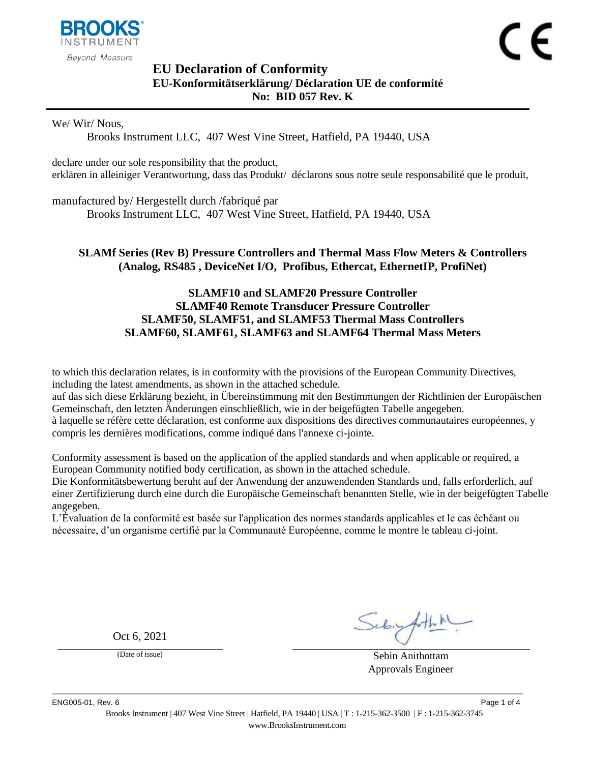

# <span id="page-0-1"></span><span id="page-0-0"></span>**EU Declaration of Conformity EU-Konformitätserklärung/ Déclaration UE de conformité No: BID 057 Rev. K**

We/ Wir/ Nous,

Brooks Instrument LLC, 407 West Vine Street, Hatfield, PA 19440, USA

declare under our sole responsibility that the product, erklären in alleiniger Verantwortung, dass das Produkt/ déclarons sous notre seule responsabilité que le produit,

manufactured by/ Hergestellt durch /fabriqué par

Brooks Instrument LLC, 407 West Vine Street, Hatfield, PA 19440, USA

# <span id="page-0-2"></span>**SLAMf Series (Rev B) Pressure Controllers and Thermal Mass Flow Meters & Controllers (Analog, RS485 , DeviceNet I/O, Profibus, Ethercat, EthernetIP, ProfiNet)**

# **SLAMF10 and SLAMF20 Pressure Controller SLAMF40 Remote Transducer Pressure Controller SLAMF50, SLAMF51, and SLAMF53 Thermal Mass Controllers SLAMF60, SLAMF61, SLAMF63 and SLAMF64 Thermal Mass Meters**

to which this declaration relates, is in conformity with the provisions of the European Community Directives, including the latest amendments, as shown in the attached schedule.

auf das sich diese Erklärung bezieht, in Übereinstimmung mit den Bestimmungen der Richtlinien der Europäischen Gemeinschaft, den letzten Änderungen einschließlich, wie in der beigefügten Tabelle angegeben.

à laquelle se réfère cette déclaration, est conforme aux dispositions des directives communautaires européennes, y compris les dernières modifications, comme indiqué dans l'annexe ci-jointe.

Conformity assessment is based on the application of the applied standards and when applicable or required, a European Community notified body certification, as shown in the attached schedule.

Die Konformitätsbewertung beruht auf der Anwendung der anzuwendenden Standards und, falls erforderlich, auf einer Zertifizierung durch eine durch die Europäische Gemeinschaft benannten Stelle, wie in der beigefügten Tabelle angegeben.

L'Évaluation de la conformité est basée sur l'application des normes standards applicables et le cas échéant ou nécessaire, d'un organisme certifié par la Communauté Européenne, comme le montre le tableau ci-joint.

Oct 6, 2021

(Date of issue) Sebin Anithottam Approvals Engineer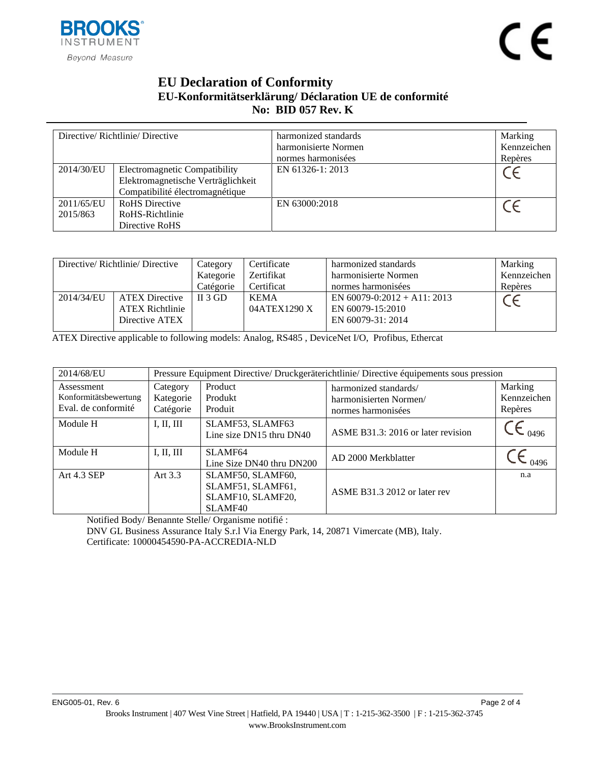

# **EU Declaration of Conformity EU-Konformitätserklärung/ Déclaration UE de conformité No: BID [057](#page-0-0) Rev. [K](#page-0-1)**

| Directive/Richtlinie/Directive |                                    | harmonized standards | Marking     |
|--------------------------------|------------------------------------|----------------------|-------------|
|                                |                                    | harmonisierte Normen | Kennzeichen |
|                                |                                    | normes harmonisées   | Repères     |
| 2014/30/EU                     | Electromagnetic Compatibility      | EN 61326-1: 2013     |             |
|                                | Elektromagnetische Verträglichkeit |                      |             |
|                                | Compatibilité électromagnétique    |                      |             |
| 2011/65/EU                     | <b>RoHS</b> Directive              | EN 63000:2018        |             |
| 2015/863                       | RoHS-Richtlinie                    |                      |             |
|                                | Directive RoHS                     |                      |             |

| Directive/Richtlinie/Directive |                        | Category  | Certificate  | harmonized standards           | Marking     |
|--------------------------------|------------------------|-----------|--------------|--------------------------------|-------------|
|                                |                        | Kategorie | Zertifikat   | harmonisierte Normen           | Kennzeichen |
|                                |                        | Catégorie | Certificat   | normes harmonisées             | Repères     |
| 2014/34/EU                     | <b>ATEX Directive</b>  | $II$ 3 GD | <b>KEMA</b>  | EN $60079 - 0:2012 + A11:2013$ |             |
|                                | <b>ATEX Richtlinie</b> |           | 04ATEX1290 X | EN 60079-15:2010               |             |
|                                | Directive ATEX         |           |              | EN 60079-31: 2014              |             |

ATEX Directive applicable to following models: Analog, RS485 , DeviceNet I/O, Profibus, Ethercat

| 2014/68/EU                                                 |                                    | Pressure Equipment Directive/ Druckgeräterichtlinie/ Directive équipements sous pression |                                                                       |                                   |  |  |
|------------------------------------------------------------|------------------------------------|------------------------------------------------------------------------------------------|-----------------------------------------------------------------------|-----------------------------------|--|--|
| Assessment<br>Konformitätsbewertung<br>Eval. de conformité | Category<br>Kategorie<br>Catégorie | Product<br>Produkt<br>Produit                                                            | harmonized standards/<br>harmonisierten Normen/<br>normes harmonisées | Marking<br>Kennzeichen<br>Repères |  |  |
| Module H                                                   | I, II, III                         | SLAMF53, SLAMF63<br>Line size DN15 thru DN40                                             | ASME B31.3: 2016 or later revision                                    | 0496                              |  |  |
| Module H                                                   | I, II, III                         | SLAMF <sub>64</sub><br>Line Size DN40 thru DN200                                         | AD 2000 Merkblatter                                                   | 0496                              |  |  |
| Art 4.3 SEP                                                | Art $3.3$                          | SLAMF50, SLAMF60,<br>SLAMF51, SLAMF61,<br>SLAMF10, SLAMF20,<br>SLAMF40                   | ASME B31.3 2012 or later rev                                          | n.a                               |  |  |

Notified Body/ Benannte Stelle/ Organisme notifié :

DNV GL Business Assurance Italy S.r.l Via Energy Park, 14, 20871 Vimercate (MB), Italy. Certificate: 10000454590-PA-ACCREDIA-NLD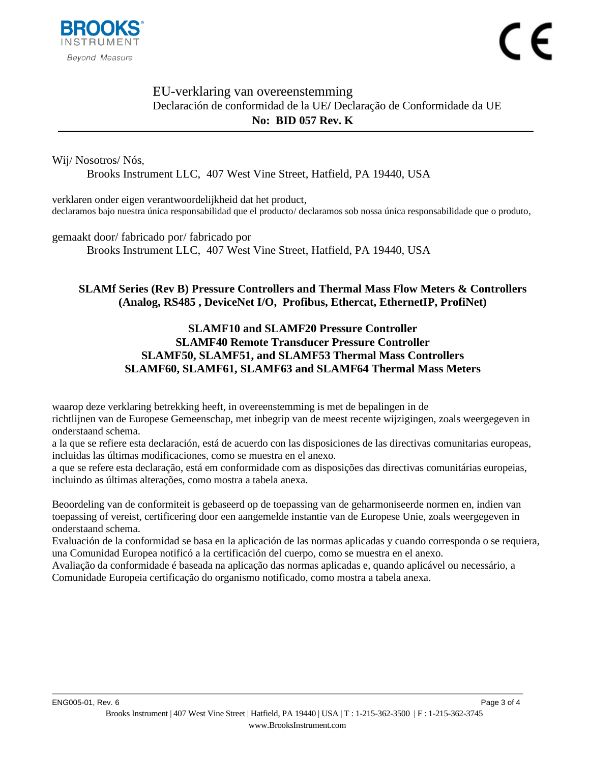

## EU-verklaring van overeenstemming Declaración de conformidad de la UE**/** Declaração de Conformidade da UE **No: BID [057](#page-0-0) Rev. [K](#page-0-1)**

Wij/ Nosotros/ Nós,

Brooks Instrument LLC, 407 West Vine Street, Hatfield, PA 19440, USA

verklaren onder eigen verantwoordelijkheid dat het product, declaramos bajo nuestra única responsabilidad que el producto/ declaramos sob nossa única responsabilidade que o produto,

gemaakt door/ fabricado por/ fabricado por Brooks Instrument LLC, 407 West Vine Street, Hatfield, PA 19440, USA

# **[SLAMf Series \(Rev B\) Pressure Controllers and Thermal Mass Flow Meters & Controllers](#page-0-2)  [\(Analog, RS485 , DeviceNet I/O, Profibus, Ethercat, EthernetIP, ProfiNet\)](#page-0-2)**

# **SLAMF10 and SLAMF20 Pressure Controller SLAMF40 Remote Transducer Pressure Controller SLAMF50, SLAMF51, and SLAMF53 Thermal Mass Controllers SLAMF60, SLAMF61, SLAMF63 and SLAMF64 Thermal Mass Meters**

waarop deze verklaring betrekking heeft, in overeenstemming is met de bepalingen in de richtlijnen van de Europese Gemeenschap, met inbegrip van de meest recente wijzigingen, zoals weergegeven in onderstaand schema.

a la que se refiere esta declaración, está de acuerdo con las disposiciones de las directivas comunitarias europeas, incluidas las últimas modificaciones, como se muestra en el anexo.

a que se refere esta declaração, está em conformidade com as disposições das directivas comunitárias europeias, incluindo as últimas alterações, como mostra a tabela anexa.

Beoordeling van de conformiteit is gebaseerd op de toepassing van de geharmoniseerde normen en, indien van toepassing of vereist, certificering door een aangemelde instantie van de Europese Unie, zoals weergegeven in onderstaand schema.

Evaluación de la conformidad se basa en la aplicación de las normas aplicadas y cuando corresponda o se requiera, una Comunidad Europea notificó a la certificación del cuerpo, como se muestra en el anexo.

Avaliação da conformidade é baseada na aplicação das normas aplicadas e, quando aplicável ou necessário, a Comunidade Europeia certificação do organismo notificado, como mostra a tabela anexa.